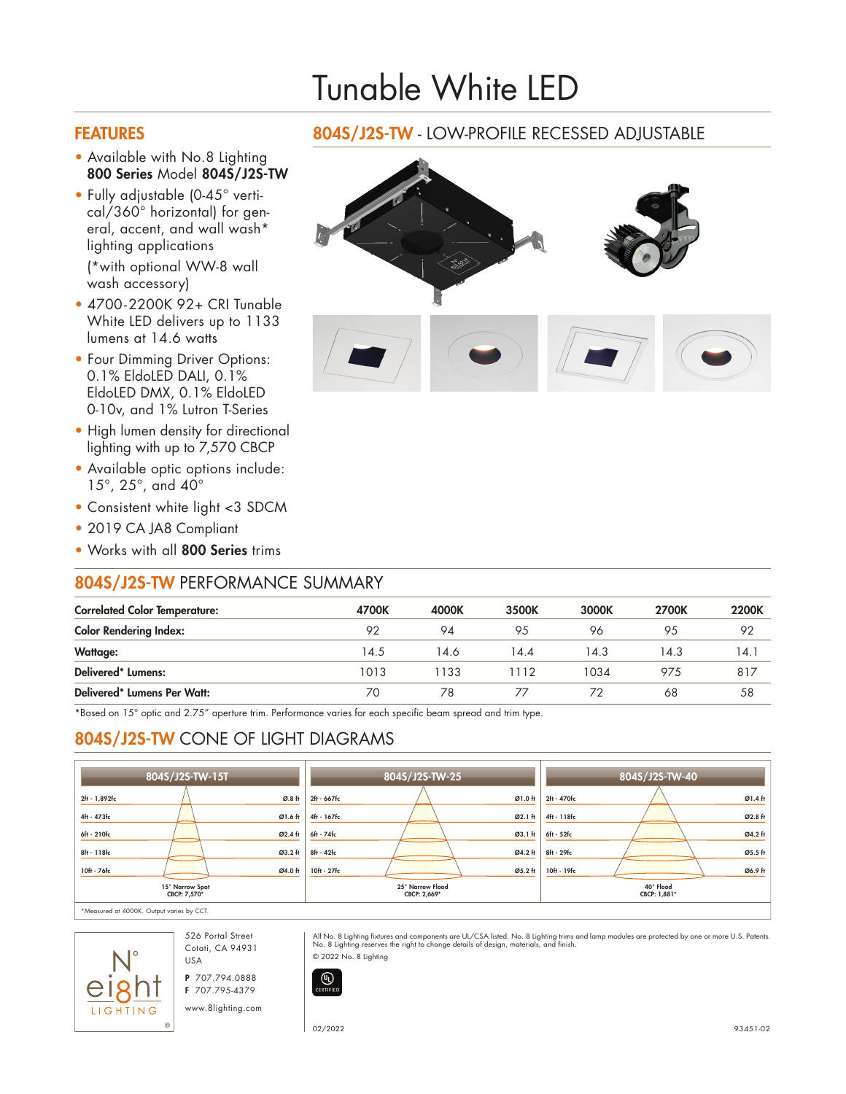## Tunable White LED

## FEATURES

- Available with No.8 Lighting 800 Series Model 804S/J2S-TW
- Fully adjustable (0-45° vertical/360° horizontal) for general, accent, and wall wash\* lighting applications

(\*with optional WW-8 wall wash accessory)

- 4700-2200K 92+ CRI Tunable White LED delivers up to 1133 lumens at 14.6 watts
- Four Dimming Driver Options: 0.1% EldoLED DALI, 0.1% EldoLED DMX, 0.1% EldoLED 0-10v, and 1% Lutron T-Series
- High lumen density for directional lighting with up to 7,570 CBCP
- Available optic options include: 15°, 25°, and 40°
- Consistent white light <3 SDCM
- 2019 CA JA8 Compliant
- Works with all 800 Series trims

## 804S/J2S-TW PERFORMANCE SUMMARY

| <b>Correlated Color Temperature:</b> | 4700K | 4000K | 3500K | 3000K | 2700K | 2200K |
|--------------------------------------|-------|-------|-------|-------|-------|-------|
| <b>Color Rendering Index:</b>        | 92    | 94    | 95    | 96    | 95    | 92    |
| <b>Wattage:</b>                      | 14.5  | 14.6  | 14.4  | 14.3  | 14.3  | 14.   |
| Delivered <sup>*</sup> Lumens:       | 1013  | 1133  | 1112  | 1034  | 975   | 817   |
| <b>Delivered* Lumens Per Watt:</b>   | 70    | 78    |       | 72    | 68    | 58    |

\*Based on 15° optic and 2.75" aperture trim. Performance varies for each specific beam spread and trim type.

## 804S/J2S-TW CONE OF LIGHT DIAGRAMS





Cotati, CA 94931 USA P 707.794.0888 F 707.795-4379

www.8lighting.com

804S/J2S-TW - LOW-PROFILE RECESSED ADJUSTABLE



All No. 8 Lighting fixtures and components are UL/CSA listed. No. 8 Lighting trims and lamp modules are protected by one or more U.S. Patents.<br>No. 8 Lighting reserves the right to change details of design, materials, and f © 2022 No. 8 Lighting